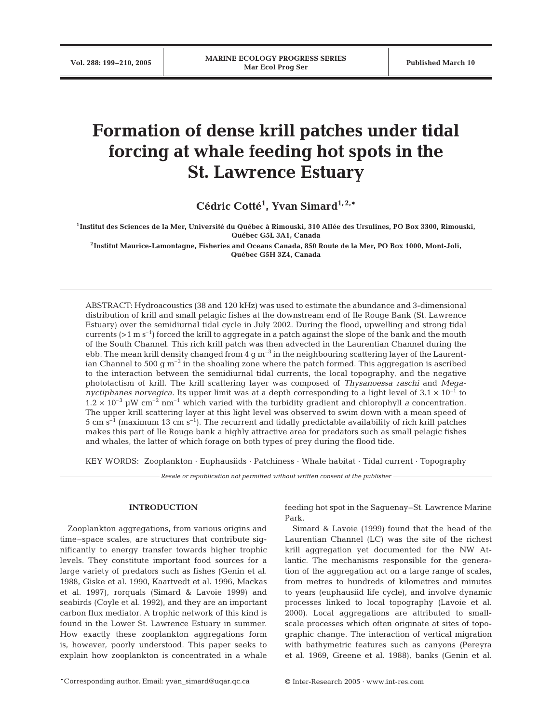# **Formation of dense krill patches under tidal forcing at whale feeding hot spots in the St. Lawrence Estuary**

**Cédric Cotté1 , Yvan Simard1, 2,\***

**1Institut des Sciences de la Mer, Université du Québec à Rimouski, 310 Allée des Ursulines, PO Box 3300, Rimouski, Québec G5L 3A1, Canada**

**2Institut Maurice-Lamontagne, Fisheries and Oceans Canada, 850 Route de la Mer, PO Box 1000, Mont-Joli, Québec G5H 3Z4, Canada**

ABSTRACT: Hydroacoustics (38 and 120 kHz) was used to estimate the abundance and 3-dimensional distribution of krill and small pelagic fishes at the downstream end of Ile Rouge Bank (St. Lawrence Estuary) over the semidiurnal tidal cycle in July 2002. During the flood, upwelling and strong tidal currents ( $>1$  m s<sup>-1</sup>) forced the krill to aggregate in a patch against the slope of the bank and the mouth of the South Channel. This rich krill patch was then advected in the Laurentian Channel during the ebb. The mean krill density changed from  $4 \text{ g m}^{-3}$  in the neighbouring scattering layer of the Laurentian Channel to 500 g  $\text{m}^{-3}$  in the shoaling zone where the patch formed. This aggregation is ascribed to the interaction between the semidiurnal tidal currents, the local topography, and the negative phototactism of krill. The krill scattering layer was composed of *Thysanoessa raschi* and *Meganyctiphanes norvegica*. Its upper limit was at a depth corresponding to a light level of  $3.1 \times 10^{-1}$  to  $1.2 \times 10^{-3}$  µW cm<sup>-2</sup> nm<sup>-1</sup> which varied with the turbidity gradient and chlorophyll *a* concentration. The upper krill scattering layer at this light level was observed to swim down with a mean speed of 5 cm  $s^{-1}$  (maximum 13 cm  $s^{-1}$ ). The recurrent and tidally predictable availability of rich krill patches makes this part of Ile Rouge bank a highly attractive area for predators such as small pelagic fishes and whales, the latter of which forage on both types of prey during the flood tide.

KEY WORDS: Zooplankton · Euphausiids · Patchiness · Whale habitat · Tidal current · Topography

*Resale or republication not permitted without written consent of the publisher*

## **INTRODUCTION**

Zooplankton aggregations, from various origins and time–space scales, are structures that contribute significantly to energy transfer towards higher trophic levels. They constitute important food sources for a large variety of predators such as fishes (Genin et al. 1988, Giske et al. 1990, Kaartvedt et al. 1996, Mackas et al. 1997), rorquals (Simard & Lavoie 1999) and seabirds (Coyle et al. 1992), and they are an important carbon flux mediator. A trophic network of this kind is found in the Lower St. Lawrence Estuary in summer. How exactly these zooplankton aggregations form is, however, poorly understood. This paper seeks to explain how zooplankton is concentrated in a whale

feeding hot spot in the Saguenay–St. Lawrence Marine Park.

Simard & Lavoie (1999) found that the head of the Laurentian Channel (LC) was the site of the richest krill aggregation yet documented for the NW Atlantic. The mechanisms responsible for the generation of the aggregation act on a large range of scales, from metres to hundreds of kilometres and minutes to years (euphausiid life cycle), and involve dynamic processes linked to local topography (Lavoie et al. 2000). Local aggregations are attributed to smallscale processes which often originate at sites of topographic change. The interaction of vertical migration with bathymetric features such as canyons (Pereyra et al. 1969, Greene et al. 1988), banks (Genin et al.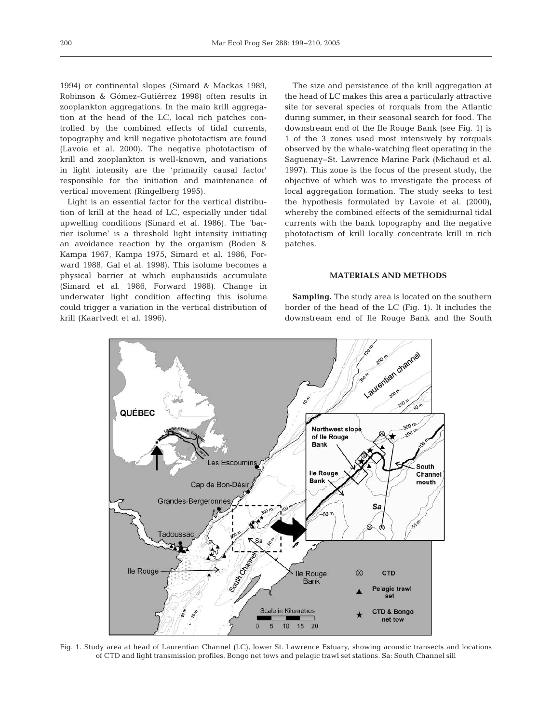1994) or continental slopes (Simard & Mackas 1989, Robinson & Gómez-Gutiérrez 1998) often results in zooplankton aggregations. In the main krill aggregation at the head of the LC, local rich patches controlled by the combined effects of tidal currents, topography and krill negative phototactism are found (Lavoie et al. 2000). The negative phototactism of krill and zooplankton is well-known, and variations in light intensity are the 'primarily causal factor' responsible for the initiation and maintenance of vertical movement (Ringelberg 1995).

Light is an essential factor for the vertical distribution of krill at the head of LC, especially under tidal upwelling conditions (Simard et al. 1986). The 'barrier isolume' is a threshold light intensity initiating an avoidance reaction by the organism (Boden & Kampa 1967, Kampa 1975, Simard et al. 1986, Forward 1988, Gal et al. 1998). This isolume becomes a physical barrier at which euphausiids accumulate (Simard et al. 1986, Forward 1988). Change in underwater light condition affecting this isolume could trigger a variation in the vertical distribution of krill (Kaartvedt et al. 1996).

The size and persistence of the krill aggregation at the head of LC makes this area a particularly attractive site for several species of rorquals from the Atlantic during summer, in their seasonal search for food. The downstream end of the Ile Rouge Bank (see Fig. 1) is 1 of the 3 zones used most intensively by rorquals observed by the whale-watching fleet operating in the Saguenay–St. Lawrence Marine Park (Michaud et al. 1997). This zone is the focus of the present study, the objective of which was to investigate the process of local aggregation formation. The study seeks to test the hypothesis formulated by Lavoie et al. (2000), whereby the combined effects of the semidiurnal tidal currents with the bank topography and the negative phototactism of krill locally concentrate krill in rich patches.

## **MATERIALS AND METHODS**

**Sampling.** The study area is located on the southern border of the head of the LC (Fig. 1). It includes the downstream end of Ile Rouge Bank and the South



Fig. 1. Study area at head of Laurentian Channel (LC), lower St. Lawrence Estuary, showing acoustic transects and locations of CTD and light transmission profiles, Bongo net tows and pelagic trawl set stations. Sa: South Channel sill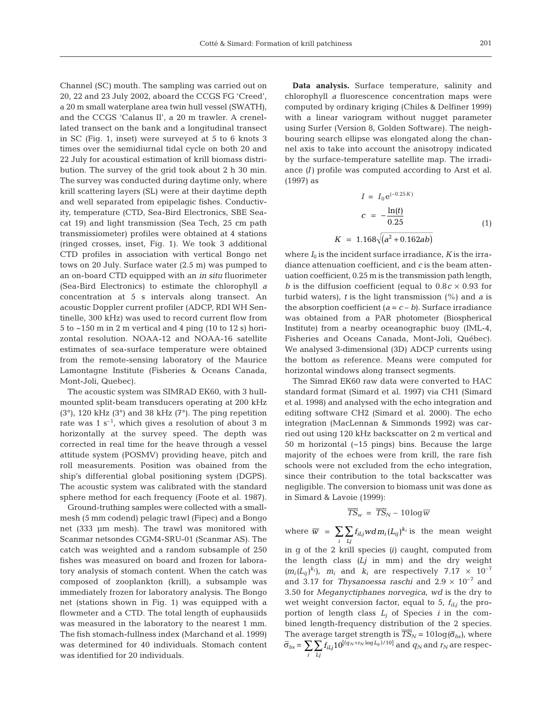Channel (SC) mouth. The sampling was carried out on 20, 22 and 23 July 2002, aboard the CCGS FG 'Creed', a 20 m small waterplane area twin hull vessel (SWATH), and the CCGS 'Calanus II', a 20 m trawler. A crenellated transect on the bank and a longitudinal transect in SC (Fig. 1, inset) were surveyed at 5 to 6 knots 3 times over the semidiurnal tidal cycle on both 20 and 22 July for acoustical estimation of krill biomass distribution. The survey of the grid took about 2 h 30 min. The survey was conducted during daytime only, where krill scattering layers (SL) were at their daytime depth and well separated from epipelagic fishes. Conductivity, temperature (CTD, Sea-Bird Electronics, SBE Seacat 19) and light transmission (Sea Tech, 25 cm path transmissiometer) profiles were obtained at 4 stations (ringed crosses, inset, Fig. 1). We took 3 additional CTD profiles in association with vertical Bongo net tows on 20 July. Surface water (2.5 m) was pumped to an on-board CTD equipped with an *in situ* fluorimeter (Sea-Bird Electronics) to estimate the chlorophyll *a* concentration at 5 s intervals along transect. An acoustic Doppler current profiler (ADCP, RDI WH Sentinelle, 300 kHz) was used to record current flow from  $5$  to  $\sim$  150 m in 2 m vertical and 4 ping (10 to 12 s) horizontal resolution. NOAA-12 and NOAA-16 satellite estimates of sea-surface temperature were obtained from the remote-sensing laboratory of the Maurice Lamontagne Institute (Fisheries & Oceans Canada, Mont-Joli, Quebec).

The acoustic system was SIMRAD EK60, with 3 hullmounted split-beam transducers operating at 200 kHz  $(3^{\circ})$ , 120 kHz  $(3^{\circ})$  and 38 kHz  $(7^{\circ})$ . The ping repetition rate was  $1 \text{ s}^{-1}$ , which gives a resolution of about 3 m horizontally at the survey speed. The depth was corrected in real time for the heave through a vessel attitude system (POSMV) providing heave, pitch and roll measurements. Position was obained from the ship's differential global positioning system (DGPS). The acoustic system was calibrated with the standard sphere method for each frequency (Foote et al. 1987).

Ground-truthing samples were collected with a smallmesh (5 mm codend) pelagic trawl (Fipec) and a Bongo net (333 µm mesh). The trawl was monitored with Scanmar netsondes CGM4-SRU-01 (Scanmar AS). The catch was weighted and a random subsample of 250 fishes was measured on board and frozen for laboratory analysis of stomach content. When the catch was composed of zooplankton (krill), a subsample was immediately frozen for laboratory analysis. The Bongo net (stations shown in Fig. 1) was equipped with a flowmeter and a CTD. The total length of euphausiids was measured in the laboratory to the nearest 1 mm. The fish stomach-fullness index (Marchand et al. 1999) was determined for 40 individuals. Stomach content was identified for 20 individuals.

**Data analysis.** Surface temperature, salinity and chlorophyll *a* fluorescence concentration maps were computed by ordinary kriging (Chiles & Delfiner 1999) with a linear variogram without nugget parameter using Surfer (Version 8, Golden Software). The neighbouring search ellipse was elongated along the channel axis to take into account the anisotropy indicated by the surface-temperature satellite map. The irradiance *(I)* profile was computed according to Arst et al. (1997) as

$$
I = I_0 e^{(-0.25K)}
$$
  
\n
$$
c = -\frac{\ln(t)}{0.25}
$$
  
\n
$$
K = 1.168\sqrt{(a^2 + 0.162ab)}
$$
\n(1)

where  $I_0$  is the incident surface irradiance,  $K$  is the irradiance attenuation coefficient, and *c* is the beam attenuation coefficient, 0.25 m is the transmission path length, *b* is the diffusion coefficient (equal to  $0.8c \times 0.93$  for turbid waters), *t* is the light transmission (%) and *a* is the absorption coefficient  $(a = c - b)$ . Surface irradiance was obtained from a PAR photometer (Biospherical Institute) from a nearby oceanographic buoy (IML-4, Fisheries and Oceans Canada, Mont-Joli, Québec). We analysed 3-dimensional (3D) ADCP currents using the bottom as reference. Means were computed for horizontal windows along transect segments.

The Simrad EK60 raw data were converted to HAC standard format (Simard et al. 1997) via CH1 (Simard et al. 1998) and analysed with the echo integration and editing software CH2 (Simard et al. 2000). The echo integration (MacLennan & Simmonds 1992) was carried out using 120 kHz backscatter on 2 m vertical and 50 m horizontal (~15 pings) bins. Because the large majority of the echoes were from krill, the rare fish schools were not excluded from the echo integration, since their contribution to the total backscatter was negligible. The conversion to biomass unit was done as in Simard & Lavoie (1999):

$$
\overline{TS}_w = \overline{TS}_N - 10\log \overline{w}
$$

where  $\overline{w}$  =  $\sum \sum f_{iLj}wdm_i (L_{ij})^{k_i}$  is the mean weight *i Lj*  $= \sum \sum f_{iLj} w dm_i (L_{ij})^{k}$ 

in g of the 2 krill species *(i)* caught, computed from the length class *(Lj* in mm*)* and the dry weight  $(m_i(L_{ij})^{k_i})$ ,  $m_i$  and  $k_i$  are respectively 7.17  $\times$  10<sup>-7</sup> and 3.17 for *Thysanoessa raschi* and 2.9 × 10–7 and 3.50 for *Meganyctiphanes norvegica*, *wd* is the dry to wet weight conversion factor, equal to 5,  $f_{iLj}$  the proportion of length class  $L_i$  of Species  $i$  in the combined length-frequency distribution of the 2 species. The average target strength is  $\overline{T}S_N = 10\log(\overline{\sigma}_{bs})$ , where  $\overline{\sigma}_{bs} = \sum \sum f_{iLj} 10^{[(q_N + r_N \log L_{ij})/10]}$  and  $q_N$  and  $r_N$  are respec*i Lj*  $\sum \sum_{i} f_{iL} 10^{[(q_N+r_N \log L_{ij})/10]}$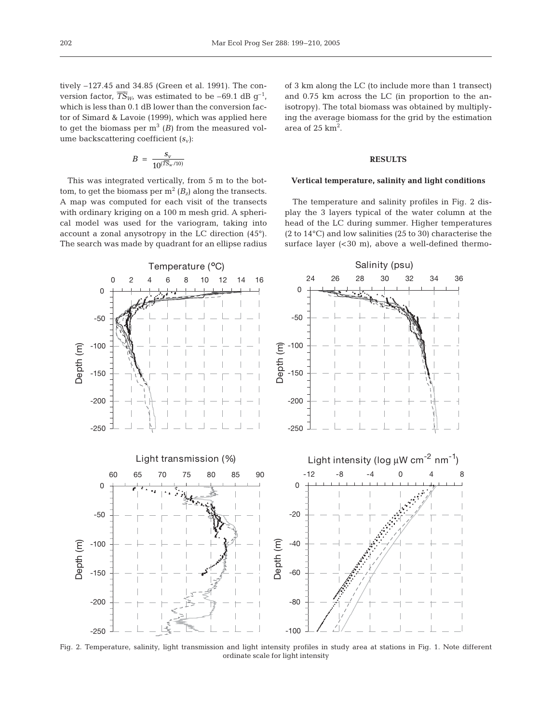tively –127.45 and 34.85 (Green et al. 1991). The conversion factor,  $\overline{TS}_{W}$ , was estimated to be –69.1 dB  $q^{-1}$ , which is less than 0.1 dB lower than the conversion factor of Simard & Lavoie (1999), which was applied here to get the biomass per  $m<sup>3</sup>$  (*B*) from the measured volume backscattering coefficient  $(s_v)$ :

$$
B\ =\ \frac{s_v}{10^{(\overline{TS}_w/10)}}
$$

This was integrated vertically, from 5 m to the bottom, to get the biomass per  $m^2 (B_z)$  along the transects. A map was computed for each visit of the transects with ordinary kriging on a 100 m mesh grid. A spherical model was used for the variogram, taking into account a zonal anysotropy in the LC direction (45°). The search was made by quadrant for an ellipse radius

of 3 km along the LC (to include more than 1 transect) and 0.75 km across the LC (in proportion to the anisotropy). The total biomass was obtained by multiplying the average biomass for the grid by the estimation area of  $25 \text{ km}^2$ .

#### **RESULTS**

## **Vertical temperature, salinity and light conditions**

The temperature and salinity profiles in Fig. 2 display the 3 layers typical of the water column at the head of the LC during summer. Higher temperatures (2 to 14°C) and low salinities (25 to 30) characterise the surface layer  $( $30 \, \text{m}$ ), above a well-defined thermo-$ 



Fig. 2. Temperature, salinity, light transmission and light intensity profiles in study area at stations in Fig. 1. Note different ordinate scale for light intensity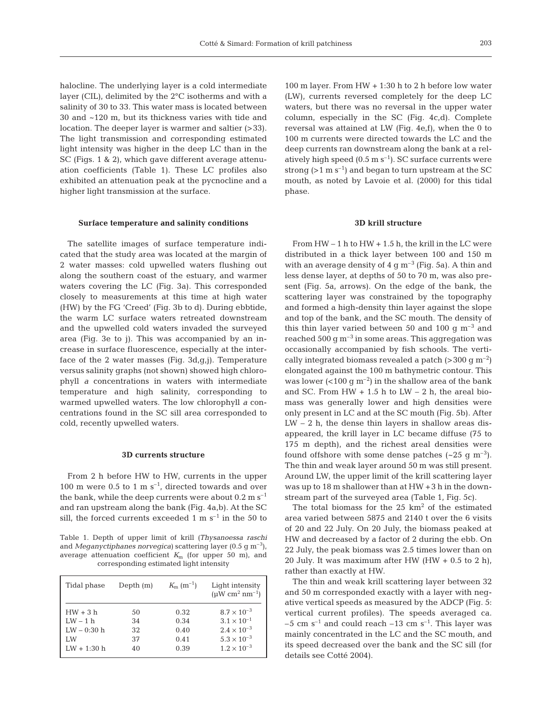halocline. The underlying layer is a cold intermediate layer (CIL), delimited by the 2°C isotherms and with a salinity of 30 to 33. This water mass is located between 30 and ~120 m, but its thickness varies with tide and location. The deeper layer is warmer and saltier (>33). The light transmission and corresponding estimated light intensity was higher in the deep LC than in the SC (Figs. 1 & 2), which gave different average attenuation coefficients (Table 1). These LC profiles also exhibited an attenuation peak at the pycnocline and a higher light transmission at the surface.

#### **Surface temperature and salinity conditions**

The satellite images of surface temperature indicated that the study area was located at the margin of 2 water masses: cold upwelled waters flushing out along the southern coast of the estuary, and warmer waters covering the LC (Fig. 3a). This corresponded closely to measurements at this time at high water (HW) by the FG 'Creed' (Fig. 3b to d). During ebbtide, the warm LC surface waters retreated downstream and the upwelled cold waters invaded the surveyed area (Fig. 3e to j). This was accompanied by an increase in surface fluorescence, especially at the interface of the 2 water masses (Fig. 3d,g,j). Temperature versus salinity graphs (not shown) showed high chlorophyll *a* concentrations in waters with intermediate temperature and high salinity, corresponding to warmed upwelled waters. The low chlorophyll *a* concentrations found in the SC sill area corresponded to cold, recently upwelled waters.

## **3D currents structure**

From 2 h before HW to HW, currents in the upper 100 m were 0.5 to 1 m  $s^{-1}$ , directed towards and over the bank, while the deep currents were about  $0.2 \text{ m s}^{-1}$ and ran upstream along the bank (Fig. 4a,b). At the SC sill, the forced currents exceeded 1 m  $s^{-1}$  in the 50 to

Table 1. Depth of upper limit of krill *(Thysanoessa raschi* and *Meganyctiphanes norvegica)* scattering layer (0.5 g m–3), average attenuation coefficient  $K<sub>m</sub>$  (for upper 50 m), and corresponding estimated light intensity

| Tidal phase   | Depth $(m)$ | $K_{\rm m}$ (m <sup>-1</sup> ) | Light intensity<br>$(\mu W \text{ cm}^2 \text{ nm}^{-1})$ |
|---------------|-------------|--------------------------------|-----------------------------------------------------------|
| $HW + 3 h$    | 50          | 0.32                           | $8.7 \times 10^{-3}$                                      |
| $LW - 1 h$    | 34          | 0.34                           | $3.1 \times 10^{-1}$                                      |
| $LW - 0:30$ h | 32          | 0.40                           | $2.4 \times 10^{-3}$                                      |
| LW            | 37          | 0.41                           | $5.3 \times 10^{-3}$                                      |
| $LW + 1:30 h$ | 40          | 0.39                           | $1.2 \times 10^{-3}$                                      |

100 m layer. From HW + 1:30 h to 2 h before low water (LW), currents reversed completely for the deep LC waters, but there was no reversal in the upper water column, especially in the SC (Fig. 4c,d). Complete reversal was attained at LW (Fig. 4e,f), when the 0 to 100 m currents were directed towards the LC and the deep currents ran downstream along the bank at a relatively high speed  $(0.5 \text{ m s}^{-1})$ . SC surface currents were strong ( $>1$  m s<sup>-1</sup>) and began to turn upstream at the SC mouth, as noted by Lavoie et al. (2000) for this tidal phase.

## **3D krill structure**

From  $HW - 1$  h to  $HW + 1.5$  h, the krill in the LC were distributed in a thick layer between 100 and 150 m with an average density of  $4 \text{ g m}^{-3}$  (Fig. 5a). A thin and less dense layer, at depths of 50 to 70 m, was also present (Fig. 5a, arrows). On the edge of the bank, the scattering layer was constrained by the topography and formed a high-density thin layer against the slope and top of the bank, and the SC mouth. The density of this thin layer varied between 50 and 100 g  $m^{-3}$  and reached 500  $\rm g$  m<sup>-3</sup> in some areas. This aggregation was occasionally accompanied by fish schools. The vertically integrated biomass revealed a patch ( $>$ 300 g m<sup>-2</sup>) elongated against the 100 m bathymetric contour. This was lower  $(<100 \text{ g m}^{-2})$  in the shallow area of the bank and SC. From HW  $+ 1.5$  h to LW  $- 2$  h, the areal biomass was generally lower and high densities were only present in LC and at the SC mouth (Fig. 5b). After  $LW - 2$  h, the dense thin layers in shallow areas disappeared, the krill layer in LC became diffuse (75 to 175 m depth), and the richest areal densities were found offshore with some dense patches  $({\sim}25 \text{ g m}^{-3})$ . The thin and weak layer around 50 m was still present. Around LW, the upper limit of the krill scattering layer was up to 18 m shallower than at HW +3 h in the downstream part of the surveyed area (Table 1, Fig. 5c).

The total biomass for the  $25 \text{ km}^2$  of the estimated area varied between 5875 and 2140 t over the 6 visits of 20 and 22 July. On 20 July, the biomass peaked at HW and decreased by a factor of 2 during the ebb. On 22 July, the peak biomass was 2.5 times lower than on 20 July. It was maximum after HW (HW  $+$  0.5 to 2 h), rather than exactly at HW.

The thin and weak krill scattering layer between 32 and 50 m corresponded exactly with a layer with negative vertical speeds as measured by the ADCP (Fig. 5: vertical current profiles). The speeds averaged ca. –5 cm  $s^{-1}$  and could reach –13 cm  $s^{-1}$ . This layer was mainly concentrated in the LC and the SC mouth, and its speed decreased over the bank and the SC sill (for details see Cotté 2004).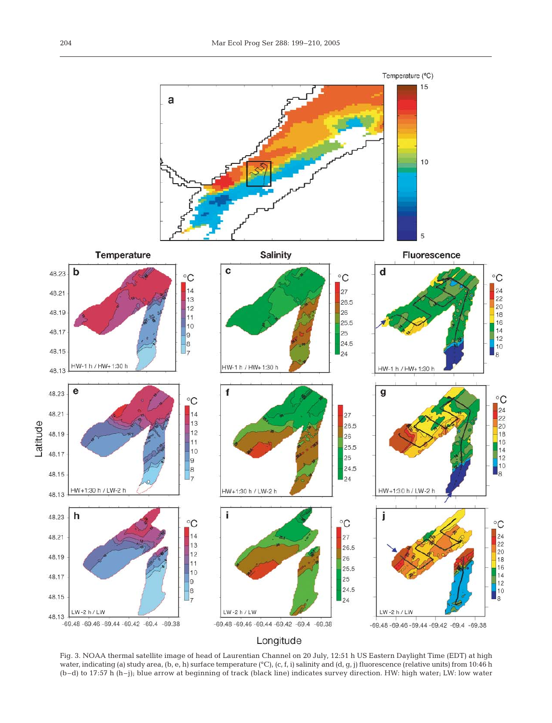

Fig. 3. NOAA thermal satellite image of head of Laurentian Channel on 20 July, 12:51 h US Eastern Daylight Time (EDT) at high water, indicating (a) study area, (b, e, h) surface temperature (°C), (c, f, i) salinity and (d, g, j) fluorescence (relative units) from 10:46 h (b–d) to 17:57 h (h–j); blue arrow at beginning of track (black line) indicates survey direction. HW: high water; LW: low water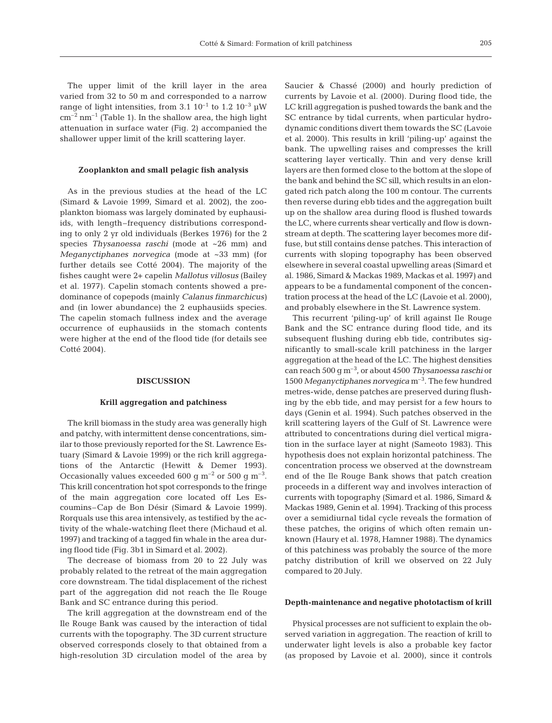The upper limit of the krill layer in the area varied from 32 to 50 m and corresponded to a narrow range of light intensities, from 3.1  $10^{-1}$  to 1.2  $10^{-3}$   $\mu$ W  $cm^{-2}$  nm<sup>-1</sup> (Table 1). In the shallow area, the high light attenuation in surface water (Fig. 2) accompanied the shallower upper limit of the krill scattering layer.

#### **Zooplankton and small pelagic fish analysis**

As in the previous studies at the head of the LC (Simard & Lavoie 1999, Simard et al. 2002), the zooplankton biomass was largely dominated by euphausiids, with length–frequency distributions corresponding to only 2 yr old individuals (Berkes 1976) for the 2 species *Thysanoessa raschi* (mode at ~26 mm) and *Meganyctiphanes norvegica* (mode at ~33 mm) (for further details see Cotté 2004). The majority of the fishes caught were 2+ capelin *Mallotus villosus* (Bailey et al. 1977). Capelin stomach contents showed a predominance of copepods (mainly *Calanus finmarchicus)* and (in lower abundance) the 2 euphausiids species. The capelin stomach fullness index and the average occurrence of euphausiids in the stomach contents were higher at the end of the flood tide (for details see Cotté 2004).

### **DISCUSSION**

#### **Krill aggregation and patchiness**

The krill biomass in the study area was generally high and patchy, with intermittent dense concentrations, similar to those previously reported for the St. Lawrence Estuary (Simard & Lavoie 1999) or the rich krill aggregations of the Antarctic (Hewitt & Demer 1993). Occasionally values exceeded 600 g  $m^{-2}$  or 500 g  $m^{-3}$ . This krill concentration hot spot corresponds to the fringe of the main aggregation core located off Les Escoumins–Cap de Bon Désir (Simard & Lavoie 1999). Rorquals use this area intensively, as testified by the activity of the whale-watching fleet there (Michaud et al. 1997) and tracking of a tagged fin whale in the area during flood tide (Fig. 3b1 in Simard et al. 2002).

The decrease of biomass from 20 to 22 July was probably related to the retreat of the main aggregation core downstream. The tidal displacement of the richest part of the aggregation did not reach the Ile Rouge Bank and SC entrance during this period.

The krill aggregation at the downstream end of the Ile Rouge Bank was caused by the interaction of tidal currents with the topography. The 3D current structure observed corresponds closely to that obtained from a high-resolution 3D circulation model of the area by

Saucier & Chassé (2000) and hourly prediction of currents by Lavoie et al. (2000). During flood tide, the LC krill aggregation is pushed towards the bank and the SC entrance by tidal currents, when particular hydrodynamic conditions divert them towards the SC (Lavoie et al. 2000). This results in krill 'piling-up' against the bank. The upwelling raises and compresses the krill scattering layer vertically. Thin and very dense krill layers are then formed close to the bottom at the slope of the bank and behind the SC sill, which results in an elongated rich patch along the 100 m contour. The currents then reverse during ebb tides and the aggregation built up on the shallow area during flood is flushed towards the LC, where currents shear vertically and flow is downstream at depth. The scattering layer becomes more diffuse, but still contains dense patches. This interaction of currents with sloping topography has been observed elsewhere in several coastal upwelling areas (Simard et al. 1986, Simard & Mackas 1989, Mackas et al. 1997) and appears to be a fundamental component of the concentration process at the head of the LC (Lavoie et al. 2000), and probably elsewhere in the St. Lawrence system.

This recurrent 'piling-up' of krill against Ile Rouge Bank and the SC entrance during flood tide, and its subsequent flushing during ebb tide, contributes significantly to small-scale krill patchiness in the larger aggregation at the head of the LC. The highest densities can reach 500 g m–3, or about 4500 *Thysanoessa raschi* or 1500 *Meganyctiphanes norvegica* m–3. The few hundred metres-wide, dense patches are preserved during flushing by the ebb tide, and may persist for a few hours to days (Genin et al. 1994). Such patches observed in the krill scattering layers of the Gulf of St. Lawrence were attributed to concentrations during diel vertical migration in the surface layer at night (Sameoto 1983). This hypothesis does not explain horizontal patchiness. The concentration process we observed at the downstream end of the Ile Rouge Bank shows that patch creation proceeds in a different way and involves interaction of currents with topography (Simard et al. 1986, Simard & Mackas 1989, Genin et al. 1994). Tracking of this process over a semidiurnal tidal cycle reveals the formation of these patches, the origins of which often remain unknown (Haury et al. 1978, Hamner 1988). The dynamics of this patchiness was probably the source of the more patchy distribution of krill we observed on 22 July compared to 20 July.

## **Depth-maintenance and negative phototactism of krill**

Physical processes are not sufficient to explain the observed variation in aggregation. The reaction of krill to underwater light levels is also a probable key factor (as proposed by Lavoie et al. 2000), since it controls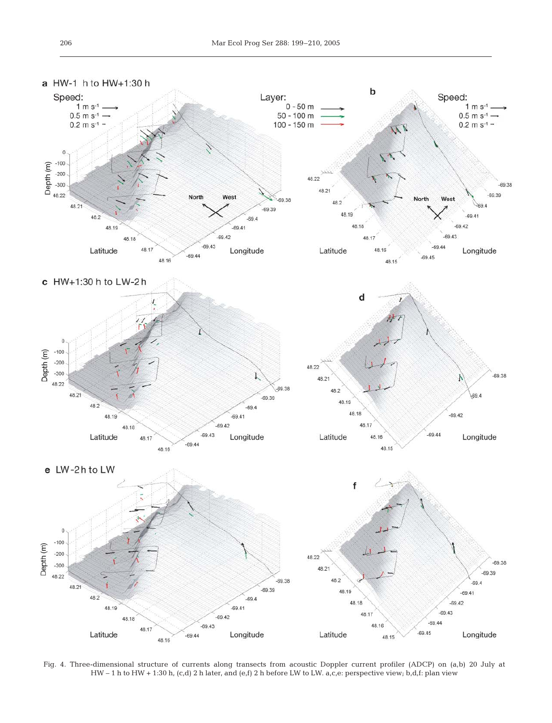

Fig. 4. Three-dimensional structure of currents along transects from acoustic Doppler current profiler (ADCP) on (a,b) 20 July at HW – 1 h to HW + 1:30 h, (c,d) 2 h later, and (e,f) 2 h before LW to LW. a,c,e: perspective view; b,d,f: plan view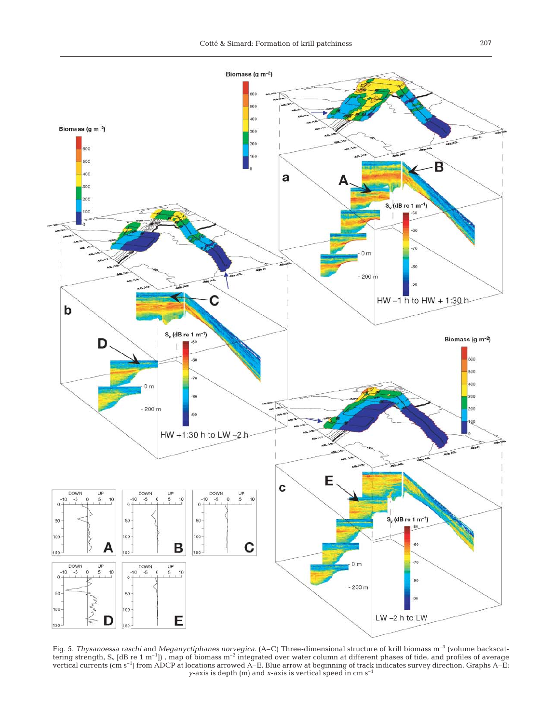

Fig. 5. *Thysanoessa raschi* and *Meganyctiphanes norvegica*. (A–C) Three-dimensional structure of krill biomass m–3 (volume backscattering strength, S<sub>v</sub> [dB re 1 m<sup>-1</sup>]), map of biomass m<sup>-2</sup> integrated over water column at different phases of tide, and profiles of average vertical currents (cm s–1) from ADCP at locations arrowed A–E. Blue arrow at beginning of track indicates survey direction. Graphs A–E: *y*-axis is depth (m) and *x*-axis is vertical speed in cm s–1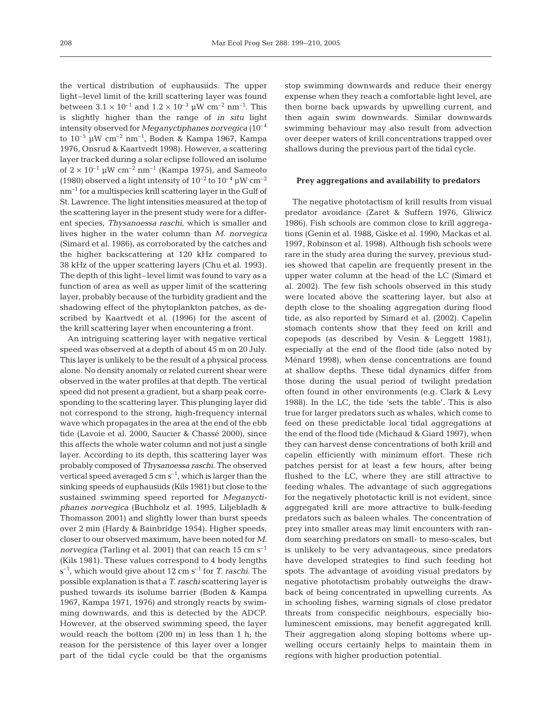the vertical distribution of euphausiids. The upper light–level limit of the krill scattering layer was found between  $3.1 \times 10^{-1}$  and  $1.2 \times 10^{-3}$  µW cm<sup>-2</sup> nm<sup>-1</sup>. This is slightly higher than the range of *in situ* light intensity observed for *Meganyctiphanes norvegica* (10–4 to  $10^{-5}$  µW cm<sup>-2</sup> nm<sup>-1</sup>, Boden & Kampa 1967, Kampa 1976, Onsrud & Kaartvedt 1998). However, a scattering layer tracked during a solar eclipse followed an isolume of  $2 \times 10^{-1}$  µW cm<sup>-2</sup> nm<sup>-1</sup> (Kampa 1975), and Sameoto (1980) observed a light intensity of  $10^{-2}$  to  $10^{-4}$  µW cm<sup>-2</sup>  $nm^{-1}$  for a multispecies krill scattering layer in the Gulf of St. Lawrence. The light intensities measured at the top of the scattering layer in the present study were for a different species, *Thysanoessa raschi*, which is smaller and lives higher in the water column than *M. norvegica* (Simard et al. 1986), as corroborated by the catches and the higher backscattering at 120 kHz compared to 38 kHz of the upper scattering layers (Chu et al. 1993). The depth of this light–level limit was found to vary as a function of area as well as upper limit of the scattering layer, probably because of the turbidity gradient and the shadowing effect of the phytoplankton patches, as described by Kaartvedt et al. (1996) for the ascent of the krill scattering layer when encountering a front.

An intriguing scattering layer with negative vertical speed was observed at a depth of about 45 m on 20 July. This layer is unlikely to be the result of a physical process alone. No density anomaly or related current shear were observed in the water profiles at that depth. The vertical speed did not present a gradient, but a sharp peak corresponding to the scattering layer. This plunging layer did not correspond to the strong, high-frequency internal wave which propagates in the area at the end of the ebb tide (Lavoie et al. 2000, Saucier & Chassé 2000), since this affects the whole water column and not just a single layer. According to its depth, this scattering layer was probably composed of *Thysanoessa raschi.* The observed vertical speed averaged 5  $\text{cm s}^{-1}$ , which is larger than the sinking speeds of euphausiids (Kils 1981) but close to the sustained swimming speed reported for *Meganyctiphanes norvegica* (Buchholz et al. 1995, Liljebladh & Thomasson 2001) and slightly lower than burst speeds over 2 min (Hardy & Bainbridge 1954). Higher speeds, closer to our observed maximum, have been noted for *M. norvegica* (Tarling et al. 2001) that can reach 15 cm s<sup>-1</sup> (Kils 1981). These values correspond to 4 body lengths  $s^{-1}$ , which would give about 12 cm  $s^{-1}$  for *T. raschi*. The possible explanation is that a *T. raschi* scattering layer is pushed towards its isolume barrier (Boden & Kampa 1967, Kampa 1971, 1976) and strongly reacts by swimming downwards, and this is detected by the ADCP. However, at the observed swimming speed, the layer would reach the bottom (200 m) in less than 1 h; the reason for the persistence of this layer over a longer part of the tidal cycle could be that the organisms

stop swimming downwards and reduce their energy expense when they reach a comfortable light level, are then borne back upwards by upwelling current, and then again swim downwards. Similar downwards swimming behaviour may also result from advection over deeper waters of krill concentrations trapped over shallows during the previous part of the tidal cycle.

### **Prey aggregations and availability to predators**

The negative phototactism of krill results from visual predator avoidance (Zaret & Suffern 1976, Gliwicz 1986). Fish schools are common close to krill aggregations (Genin et al. 1988, Giske et al. 1990, Mackas et al. 1997, Robinson et al. 1998). Although fish schools were rare in the study area during the survey, previous studies showed that capelin are frequently present in the upper water column at the head of the LC (Simard et al. 2002). The few fish schools observed in this study were located above the scattering layer, but also at depth close to the shoaling aggregation during flood tide, as also reported by Simard et al. (2002). Capelin stomach contents show that they feed on krill and copepods (as described by Vesin & Leggett 1981), especially at the end of the flood tide (also noted by Ménard 1998), when dense concentrations are found at shallow depths. These tidal dynamics differ from those during the usual period of twilight predation often found in other environments (e.g. Clark & Levy 1988). In the LC, the tide 'sets the table'. This is also true for larger predators such as whales, which come to feed on these predictable local tidal aggregations at the end of the flood tide (Michaud & Giard 1997), when they can harvest dense concentrations of both krill and capelin efficiently with minimum effort. These rich patches persist for at least a few hours, after being flushed to the LC, where they are still attractive to feeding whales. The advantage of such aggregations for the negatively phototactic krill is not evident, since aggregated krill are more attractive to bulk-feeding predators such as baleen whales. The concentration of prey into smaller areas may limit encounters with random searching predators on small- to meso-scales, but is unlikely to be very advantageous, since predators have developed strategies to find such feeding hot spots. The advantage of avoiding visual predators by negative phototactism probably outweighs the drawback of being concentrated in upwelling currents. As in schooling fishes, warning signals of close predator threats from conspecific neighbours, especially bioluminescent emissions, may benefit aggregated krill. Their aggregation along sloping bottoms where upwelling occurs certainly helps to maintain them in regions with higher production potential.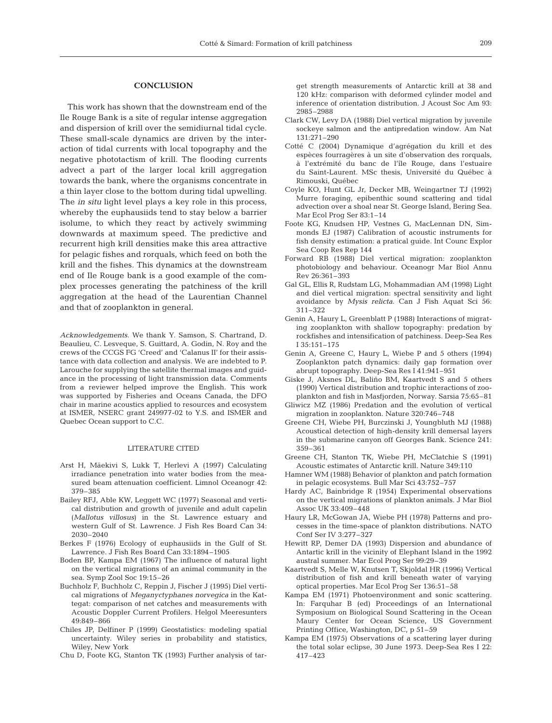#### 209

## **CONCLUSION**

This work has shown that the downstream end of the Ile Rouge Bank is a site of regular intense aggregation and dispersion of krill over the semidiurnal tidal cycle. These small-scale dynamics are driven by the interaction of tidal currents with local topography and the negative phototactism of krill. The flooding currents advect a part of the larger local krill aggregation towards the bank, where the organisms concentrate in a thin layer close to the bottom during tidal upwelling. The *in situ* light level plays a key role in this process, whereby the euphausiids tend to stay below a barrier isolume, to which they react by actively swimming downwards at maximum speed. The predictive and recurrent high krill densities make this area attractive for pelagic fishes and rorquals, which feed on both the krill and the fishes. This dynamics at the downstream end of Ile Rouge bank is a good example of the complex processes generating the patchiness of the krill aggregation at the head of the Laurentian Channel and that of zooplankton in general.

*Acknowledgements.* We thank Y. Samson, S. Chartrand, D. Beaulieu, C. Lesveque, S. Guittard, A. Godin, N. Roy and the crews of the CCGS FG 'Creed' and 'Calanus II' for their assistance with data collection and analysis. We are indebted to P. Larouche for supplying the satellite thermal images and guidance in the processing of light transmission data. Comments from a reviewer helped improve the English. This work was supported by Fisheries and Oceans Canada, the DFO chair in marine acoustics applied to resources and ecosystem at ISMER, NSERC grant 249977-02 to Y.S. and ISMER and Quebec Ocean support to C.C.

#### LITERATURE CITED

- Arst H, Mäekivi S, Lukk T, Herlevi A (1997) Calculating irradiance penetration into water bodies from the measured beam attenuation coefficient. Limnol Oceanogr 42: 379–385
- Bailey RFJ, Able KW, Leggett WC (1977) Seasonal and vertical distribution and growth of juvenile and adult capelin (*Mallotus villosus*) in the St. Lawrence estuary and western Gulf of St. Lawrence. J Fish Res Board Can 34: 2030–2040
- Berkes F (1976) Ecology of euphausiids in the Gulf of St. Lawrence. J Fish Res Board Can 33:1894–1905
- Boden BP, Kampa EM (1967) The influence of natural light on the vertical migrations of an animal community in the sea. Symp Zool Soc 19:15–26
- Buchholz F, Buchholz C, Reppin J, Fischer J (1995) Diel vertical migrations of *Meganyctyphanes norvegica* in the Kattegat: comparison of net catches and measurements with Acoustic Doppler Current Profilers. Helgol Meeresunters 49:849–866
- Chiles JP, Delfiner P (1999) Geostatistics: modeling spatial uncertainty. Wiley series in probability and statistics, Wiley, New York
- Chu D, Foote KG, Stanton TK (1993) Further analysis of tar-

get strength measurements of Antarctic krill at 38 and 120 kHz: comparison with deformed cylinder model and inference of orientation distribution. J Acoust Soc Am 93: 2985–2988

- Clark CW, Levy DA (1988) Diel vertical migration by juvenile sockeye salmon and the antipredation window. Am Nat 131:271–290
- Cotté C (2004) Dynamique d'agrégation du krill et des espèces fourragères à un site d'observation des rorquals, à l'extrémité du banc de l'île Rouge, dans l'estuaire du Saint-Laurent. MSc thesis, Université du Québec à Rimouski, Québec
- Coyle KO, Hunt GL Jr, Decker MB, Weingartner TJ (1992) Murre foraging, epibenthic sound scattering and tidal advection over a shoal near St. George Island, Bering Sea. Mar Ecol Prog Ser 83:1–14
- Foote KG, Knudsen HP, Vestnes G, MacLennan DN, Simmonds EJ (1987) Calibration of acoustic instruments for fish density estimation: a pratical guide. Int Counc Explor Sea Coop Res Rep 144
- Forward RB (1988) Diel vertical migration: zooplankton photobiology and behaviour. Oceanogr Mar Biol Annu Rev 26:361–393
- Gal GL, Ellis R, Rudstam LG, Mohammadian AM (1998) Light and diel vertical migration: spectral sensitivity and light avoidance by *Mysis relicta*. Can J Fish Aquat Sci 56: 311–322
- Genin A, Haury L, Greenblatt P (1988) Interactions of migrating zooplankton with shallow topography: predation by rockfishes and intensification of patchiness. Deep-Sea Res I 35:151–175
- Genin A, Greene C, Haury L, Wiebe P and 5 others (1994) Zooplankton patch dynamics: daily gap formation over abrupt topography. Deep-Sea Res I 41:941–951
- Giske J, Aksnes DL, Baliño BM, Kaartvedt S and 5 others (1990) Vertical distribution and trophic interactions of zooplankton and fish in Masfjorden, Norway. Sarsia 75:65–81
- Gliwicz MZ (1986) Predation and the evolution of vertical migration in zooplankton. Nature 320:746–748
- Greene CH, Wiebe PH, Burczinski J, Youngbluth MJ (1988) Acoustical detection of high-density krill demersal layers in the submarine canyon off Georges Bank. Science 241: 359–361
- Greene CH, Stanton TK, Wiebe PH, McClatchie S (1991) Acoustic estimates of Antarctic krill. Nature 349:110
- Hamner WM (1988) Behavior of plankton and patch formation in pelagic ecosystems. Bull Mar Sci 43:752–757
- Hardy AC, Bainbridge R (1954) Experimental observations on the vertical migrations of plankton animals. J Mar Biol Assoc UK 33:409–448
- Haury LR, McGowan JA, Wiebe PH (1978) Patterns and processes in the time-space of plankton distributions. NATO Conf Ser IV 3:277–327
- Hewitt RP, Demer DA (1993) Dispersion and abundance of Antartic krill in the vicinity of Elephant Island in the 1992 austral summer. Mar Ecol Prog Ser 99:29–39
- Kaartvedt S, Melle W, Knutsen T, Skjoldal HR (1996) Vertical distribution of fish and krill beneath water of varying optical properties. Mar Ecol Prog Ser 136:51–58
- Kampa EM (1971) Photoenvironment and sonic scattering. In: Farquhar B (ed) Proceedings of an International Symposium on Biological Sound Scattering in the Ocean Maury Center for Ocean Science, US Government Printing Office, Washington, DC, p 51–59
- Kampa EM (1975) Observations of a scattering layer during the total solar eclipse, 30 June 1973. Deep-Sea Res I 22: 417–423